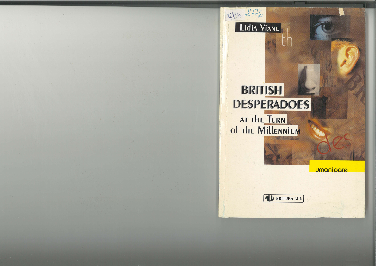

## Lidia Vianu

## **BRITISH DESPERADOES** AT THE TURN

## of THE MILLENNIUM

umanioare